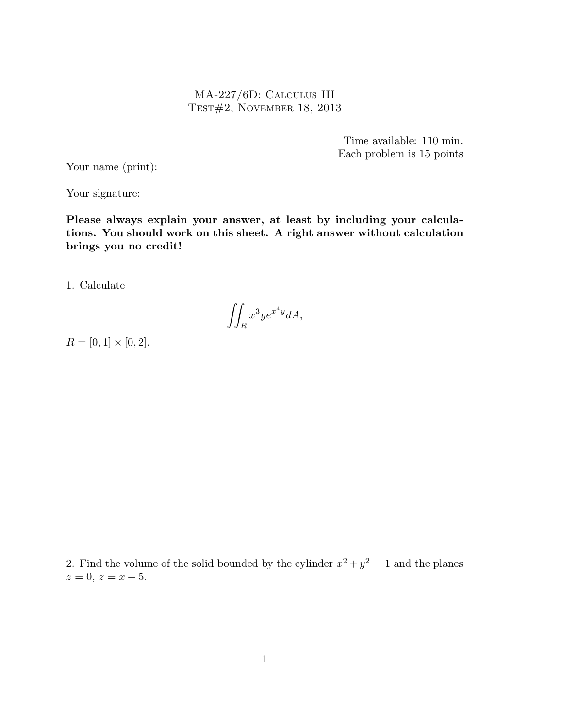MA-227/6D: Calculus III Test#2, November 18, 2013

> Time available: 110 min. Each problem is 15 points

Your name (print):

Your signature:

Please always explain your answer, at least by including your calculations. You should work on this sheet. A right answer without calculation brings you no credit!

1. Calculate

$$
\iint_R x^3 y e^{x^4 y} dA,
$$

 $R = [0, 1] \times [0, 2].$ 

2. Find the volume of the solid bounded by the cylinder  $x^2 + y^2 = 1$  and the planes  $z = 0, z = x + 5.$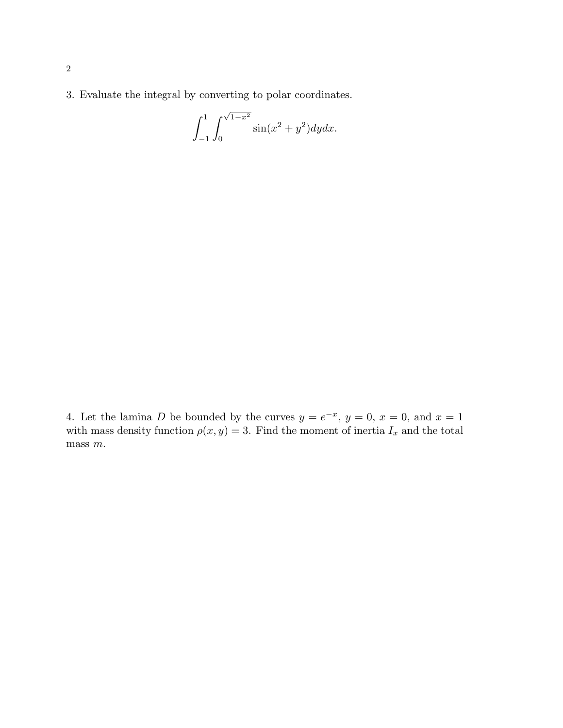3. Evaluate the integral by converting to polar coordinates.

$$
\int_{-1}^{1} \int_{0}^{\sqrt{1-x^2}} \sin(x^2 + y^2) dy dx.
$$

4. Let the lamina D be bounded by the curves  $y = e^{-x}$ ,  $y = 0$ ,  $x = 0$ , and  $x = 1$ with mass density function  $\rho(x, y) = 3$ . Find the moment of inertia  $I_x$  and the total mass  $m$ .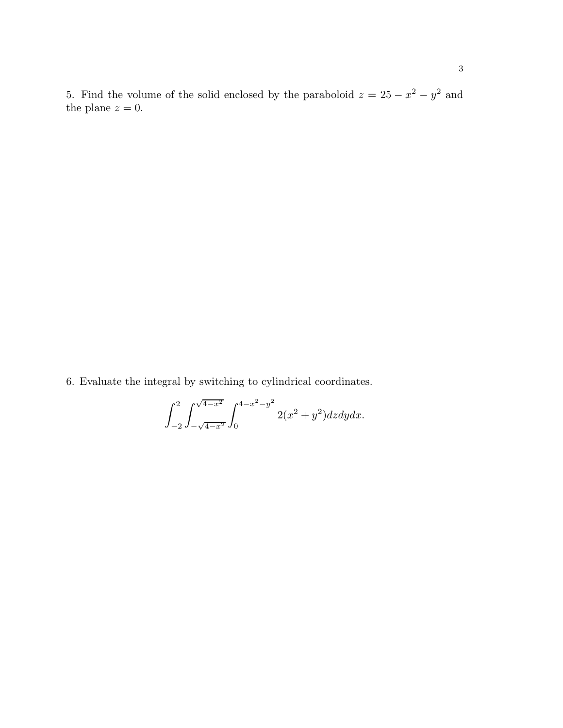5. Find the volume of the solid enclosed by the paraboloid  $z = 25 - x^2 - y^2$  and the plane  $z = 0$ .

6. Evaluate the integral by switching to cylindrical coordinates.

$$
\int_{-2}^{2} \int_{-\sqrt{4-x^2}}^{\sqrt{4-x^2}} \int_{0}^{4-x^2-y^2} 2(x^2+y^2) dz dy dx.
$$